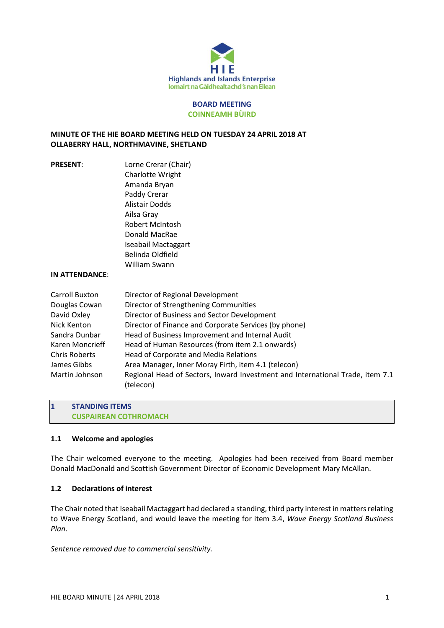

#### **BOARD MEETING COINNEAMH BÙIRD**

# **MINUTE OF THE HIE BOARD MEETING HELD ON TUESDAY 24 APRIL 2018 AT OLLABERRY HALL, NORTHMAVINE, SHETLAND**

| <b>PRESENT:</b>                                                                                                                                            | Lorne Crerar (Chair)<br>Charlotte Wright<br>Amanda Bryan<br>Paddy Crerar<br><b>Alistair Dodds</b><br>Ailsa Gray<br><b>Robert McIntosh</b><br>Donald MacRae<br>Iseabail Mactaggart<br>Belinda Oldfield                                                                                                                                                                                                                                                                                 |
|------------------------------------------------------------------------------------------------------------------------------------------------------------|---------------------------------------------------------------------------------------------------------------------------------------------------------------------------------------------------------------------------------------------------------------------------------------------------------------------------------------------------------------------------------------------------------------------------------------------------------------------------------------|
|                                                                                                                                                            | William Swann                                                                                                                                                                                                                                                                                                                                                                                                                                                                         |
| IN ATTENDANCE:                                                                                                                                             |                                                                                                                                                                                                                                                                                                                                                                                                                                                                                       |
| Carroll Buxton<br>Douglas Cowan<br>David Oxley<br>Nick Kenton<br>Sandra Dunbar<br>Karen Moncrieff<br><b>Chris Roberts</b><br>James Gibbs<br>Martin Johnson | Director of Regional Development<br>Director of Strengthening Communities<br>Director of Business and Sector Development<br>Director of Finance and Corporate Services (by phone)<br>Head of Business Improvement and Internal Audit<br>Head of Human Resources (from item 2.1 onwards)<br>Head of Corporate and Media Relations<br>Area Manager, Inner Moray Firth, item 4.1 (telecon)<br>Regional Head of Sectors, Inward Investment and International Trade, item 7.1<br>(telecon) |

**1 STANDING ITEMS CUSPAIREAN COTHROMACH**

### **1.1 Welcome and apologies**

The Chair welcomed everyone to the meeting. Apologies had been received from Board member Donald MacDonald and Scottish Government Director of Economic Development Mary McAllan.

## **1.2 Declarations of interest**

The Chair noted that Iseabail Mactaggart had declared a standing, third party interest in matters relating to Wave Energy Scotland, and would leave the meeting for item 3.4, *Wave Energy Scotland Business Plan*.

*Sentence removed due to commercial sensitivity.*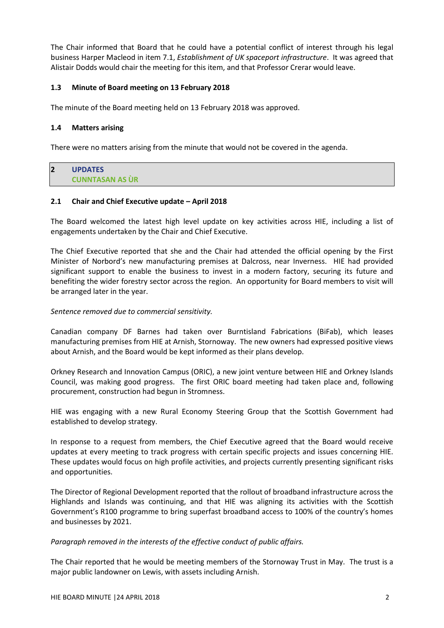The Chair informed that Board that he could have a potential conflict of interest through his legal business Harper Macleod in item 7.1, *Establishment of UK spaceport infrastructure*. It was agreed that Alistair Dodds would chair the meeting for this item, and that Professor Crerar would leave.

# **1.3 Minute of Board meeting on 13 February 2018**

The minute of the Board meeting held on 13 February 2018 was approved.

## **1.4 Matters arising**

There were no matters arising from the minute that would not be covered in the agenda.

# **2 UPDATES CUNNTASAN AS ÙR**

# **2.1 Chair and Chief Executive update – April 2018**

The Board welcomed the latest high level update on key activities across HIE, including a list of engagements undertaken by the Chair and Chief Executive.

The Chief Executive reported that she and the Chair had attended the official opening by the First Minister of Norbord's new manufacturing premises at Dalcross, near Inverness. HIE had provided significant support to enable the business to invest in a modern factory, securing its future and benefiting the wider forestry sector across the region. An opportunity for Board members to visit will be arranged later in the year.

## *Sentence removed due to commercial sensitivity.*

Canadian company DF Barnes had taken over Burntisland Fabrications (BiFab), which leases manufacturing premises from HIE at Arnish, Stornoway. The new owners had expressed positive views about Arnish, and the Board would be kept informed as their plans develop.

Orkney Research and Innovation Campus (ORIC), a new joint venture between HIE and Orkney Islands Council, was making good progress. The first ORIC board meeting had taken place and, following procurement, construction had begun in Stromness.

HIE was engaging with a new Rural Economy Steering Group that the Scottish Government had established to develop strategy.

In response to a request from members, the Chief Executive agreed that the Board would receive updates at every meeting to track progress with certain specific projects and issues concerning HIE. These updates would focus on high profile activities, and projects currently presenting significant risks and opportunities.

The Director of Regional Development reported that the rollout of broadband infrastructure across the Highlands and Islands was continuing, and that HIE was aligning its activities with the Scottish Government's R100 programme to bring superfast broadband access to 100% of the country's homes and businesses by 2021.

### *Paragraph removed in the interests of the effective conduct of public affairs.*

The Chair reported that he would be meeting members of the Stornoway Trust in May. The trust is a major public landowner on Lewis, with assets including Arnish.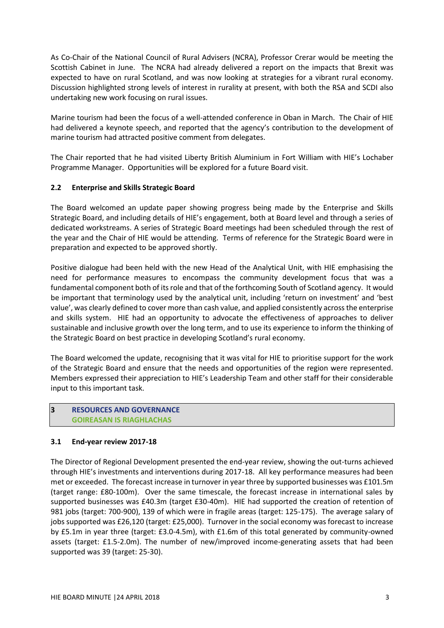As Co-Chair of the National Council of Rural Advisers (NCRA), Professor Crerar would be meeting the Scottish Cabinet in June. The NCRA had already delivered a report on the impacts that Brexit was expected to have on rural Scotland, and was now looking at strategies for a vibrant rural economy. Discussion highlighted strong levels of interest in rurality at present, with both the RSA and SCDI also undertaking new work focusing on rural issues.

Marine tourism had been the focus of a well-attended conference in Oban in March. The Chair of HIE had delivered a keynote speech, and reported that the agency's contribution to the development of marine tourism had attracted positive comment from delegates.

The Chair reported that he had visited Liberty British Aluminium in Fort William with HIE's Lochaber Programme Manager. Opportunities will be explored for a future Board visit.

# **2.2 Enterprise and Skills Strategic Board**

The Board welcomed an update paper showing progress being made by the Enterprise and Skills Strategic Board, and including details of HIE's engagement, both at Board level and through a series of dedicated workstreams. A series of Strategic Board meetings had been scheduled through the rest of the year and the Chair of HIE would be attending. Terms of reference for the Strategic Board were in preparation and expected to be approved shortly.

Positive dialogue had been held with the new Head of the Analytical Unit, with HIE emphasising the need for performance measures to encompass the community development focus that was a fundamental component both of its role and that of the forthcoming South of Scotland agency. It would be important that terminology used by the analytical unit, including 'return on investment' and 'best value', was clearly defined to cover more than cash value, and applied consistently across the enterprise and skills system. HIE had an opportunity to advocate the effectiveness of approaches to deliver sustainable and inclusive growth over the long term, and to use its experience to inform the thinking of the Strategic Board on best practice in developing Scotland's rural economy.

The Board welcomed the update, recognising that it was vital for HIE to prioritise support for the work of the Strategic Board and ensure that the needs and opportunities of the region were represented. Members expressed their appreciation to HIE's Leadership Team and other staff for their considerable input to this important task.

# **3 RESOURCES AND GOVERNANCE GOIREASAN IS RIAGHLACHAS**

### **3.1 End-year review 2017-18**

The Director of Regional Development presented the end-year review, showing the out-turns achieved through HIE's investments and interventions during 2017-18. All key performance measures had been met or exceeded. The forecast increase in turnover in year three by supported businesses was £101.5m (target range: £80-100m). Over the same timescale, the forecast increase in international sales by supported businesses was £40.3m (target £30-40m). HIE had supported the creation of retention of 981 jobs (target: 700-900), 139 of which were in fragile areas (target: 125-175). The average salary of jobs supported was £26,120 (target: £25,000). Turnover in the social economy was forecast to increase by £5.1m in year three (target: £3.0-4.5m), with £1.6m of this total generated by community-owned assets (target: £1.5-2.0m). The number of new/improved income-generating assets that had been supported was 39 (target: 25-30).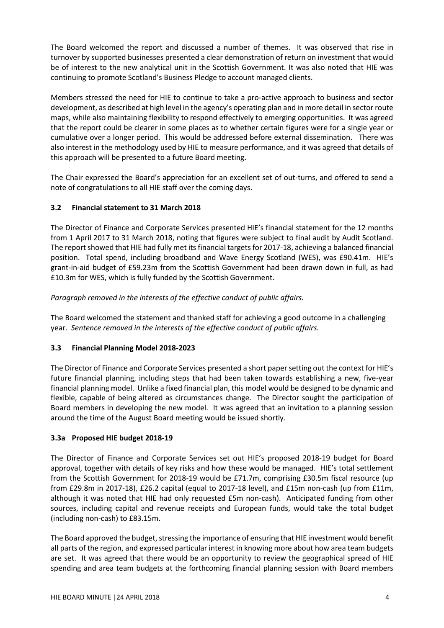The Board welcomed the report and discussed a number of themes. It was observed that rise in turnover by supported businesses presented a clear demonstration of return on investment that would be of interest to the new analytical unit in the Scottish Government. It was also noted that HIE was continuing to promote Scotland's Business Pledge to account managed clients.

Members stressed the need for HIE to continue to take a pro-active approach to business and sector development, as described at high level in the agency's operating plan and in more detail in sector route maps, while also maintaining flexibility to respond effectively to emerging opportunities. It was agreed that the report could be clearer in some places as to whether certain figures were for a single year or cumulative over a longer period. This would be addressed before external dissemination. There was also interest in the methodology used by HIE to measure performance, and it was agreed that details of this approach will be presented to a future Board meeting.

The Chair expressed the Board's appreciation for an excellent set of out-turns, and offered to send a note of congratulations to all HIE staff over the coming days.

# **3.2 Financial statement to 31 March 2018**

The Director of Finance and Corporate Services presented HIE's financial statement for the 12 months from 1 April 2017 to 31 March 2018, noting that figures were subject to final audit by Audit Scotland. The report showed that HIE had fully met its financial targets for 2017-18, achieving a balanced financial position. Total spend, including broadband and Wave Energy Scotland (WES), was £90.41m. HIE's grant-in-aid budget of £59.23m from the Scottish Government had been drawn down in full, as had £10.3m for WES, which is fully funded by the Scottish Government.

# *Paragraph removed in the interests of the effective conduct of public affairs.*

The Board welcomed the statement and thanked staff for achieving a good outcome in a challenging year. *Sentence removed in the interests of the effective conduct of public affairs.* 

# **3.3 Financial Planning Model 2018-2023**

The Director of Finance and Corporate Services presented a short paper setting out the context for HIE's future financial planning, including steps that had been taken towards establishing a new, five-year financial planning model. Unlike a fixed financial plan, this model would be designed to be dynamic and flexible, capable of being altered as circumstances change. The Director sought the participation of Board members in developing the new model. It was agreed that an invitation to a planning session around the time of the August Board meeting would be issued shortly.

# **3.3a Proposed HIE budget 2018-19**

The Director of Finance and Corporate Services set out HIE's proposed 2018-19 budget for Board approval, together with details of key risks and how these would be managed. HIE's total settlement from the Scottish Government for 2018-19 would be £71.7m, comprising £30.5m fiscal resource (up from £29.8m in 2017-18), £26.2 capital (equal to 2017-18 level), and £15m non-cash (up from £11m, although it was noted that HIE had only requested £5m non-cash). Anticipated funding from other sources, including capital and revenue receipts and European funds, would take the total budget (including non-cash) to £83.15m.

The Board approved the budget, stressing the importance of ensuring that HIE investment would benefit all parts of the region, and expressed particular interest in knowing more about how area team budgets are set. It was agreed that there would be an opportunity to review the geographical spread of HIE spending and area team budgets at the forthcoming financial planning session with Board members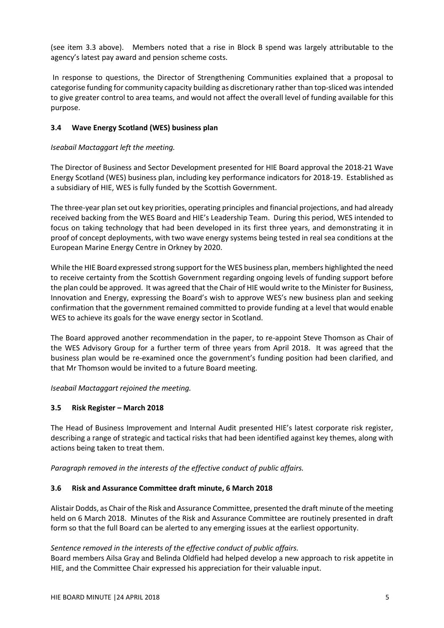(see item 3.3 above). Members noted that a rise in Block B spend was largely attributable to the agency's latest pay award and pension scheme costs.

In response to questions, the Director of Strengthening Communities explained that a proposal to categorise funding for community capacity building as discretionary rather than top-sliced was intended to give greater control to area teams, and would not affect the overall level of funding available for this purpose.

# **3.4 Wave Energy Scotland (WES) business plan**

# *Iseabail Mactaggart left the meeting.*

The Director of Business and Sector Development presented for HIE Board approval the 2018-21 Wave Energy Scotland (WES) business plan, including key performance indicators for 2018-19. Established as a subsidiary of HIE, WES is fully funded by the Scottish Government.

The three-year plan set out key priorities, operating principles and financial projections, and had already received backing from the WES Board and HIE's Leadership Team. During this period, WES intended to focus on taking technology that had been developed in its first three years, and demonstrating it in proof of concept deployments, with two wave energy systems being tested in real sea conditions at the European Marine Energy Centre in Orkney by 2020.

While the HIE Board expressed strong support for the WES business plan, members highlighted the need to receive certainty from the Scottish Government regarding ongoing levels of funding support before the plan could be approved. It was agreed that the Chair of HIE would write to the Minister for Business, Innovation and Energy, expressing the Board's wish to approve WES's new business plan and seeking confirmation that the government remained committed to provide funding at a level that would enable WES to achieve its goals for the wave energy sector in Scotland.

The Board approved another recommendation in the paper, to re-appoint Steve Thomson as Chair of the WES Advisory Group for a further term of three years from April 2018. It was agreed that the business plan would be re-examined once the government's funding position had been clarified, and that Mr Thomson would be invited to a future Board meeting.

*Iseabail Mactaggart rejoined the meeting.* 

# **3.5 Risk Register – March 2018**

The Head of Business Improvement and Internal Audit presented HIE's latest corporate risk register, describing a range of strategic and tactical risks that had been identified against key themes, along with actions being taken to treat them.

*Paragraph removed in the interests of the effective conduct of public affairs.* 

### **3.6 Risk and Assurance Committee draft minute, 6 March 2018**

Alistair Dodds, as Chair of the Risk and Assurance Committee, presented the draft minute of the meeting held on 6 March 2018. Minutes of the Risk and Assurance Committee are routinely presented in draft form so that the full Board can be alerted to any emerging issues at the earliest opportunity.

### *Sentence removed in the interests of the effective conduct of public affairs.*

Board members Ailsa Gray and Belinda Oldfield had helped develop a new approach to risk appetite in HIE, and the Committee Chair expressed his appreciation for their valuable input.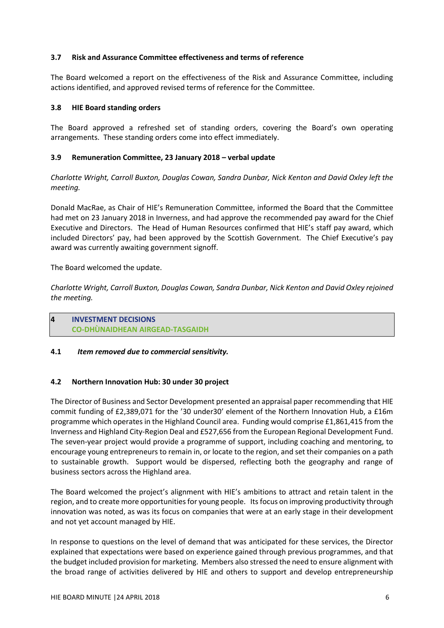## **3.7 Risk and Assurance Committee effectiveness and terms of reference**

The Board welcomed a report on the effectiveness of the Risk and Assurance Committee, including actions identified, and approved revised terms of reference for the Committee.

## **3.8 HIE Board standing orders**

The Board approved a refreshed set of standing orders, covering the Board's own operating arrangements. These standing orders come into effect immediately.

# **3.9 Remuneration Committee, 23 January 2018 – verbal update**

*Charlotte Wright, Carroll Buxton, Douglas Cowan, Sandra Dunbar, Nick Kenton and David Oxley left the meeting.* 

Donald MacRae, as Chair of HIE's Remuneration Committee, informed the Board that the Committee had met on 23 January 2018 in Inverness, and had approve the recommended pay award for the Chief Executive and Directors. The Head of Human Resources confirmed that HIE's staff pay award, which included Directors' pay, had been approved by the Scottish Government. The Chief Executive's pay award was currently awaiting government signoff.

# The Board welcomed the update.

*Charlotte Wright, Carroll Buxton, Douglas Cowan, Sandra Dunbar, Nick Kenton and David Oxley rejoined the meeting.* 

# **4 INVESTMENT DECISIONS CO-DHÙNAIDHEAN AIRGEAD-TASGAIDH**

### **4.1** *Item removed due to commercial sensitivity.*

# **4.2 Northern Innovation Hub: 30 under 30 project**

The Director of Business and Sector Development presented an appraisal paper recommending that HIE commit funding of £2,389,071 for the '30 under30' element of the Northern Innovation Hub, a £16m programme which operates in the Highland Council area. Funding would comprise £1,861,415 from the Inverness and Highland City-Region Deal and £527,656 from the European Regional Development Fund. The seven-year project would provide a programme of support, including coaching and mentoring, to encourage young entrepreneurs to remain in, or locate to the region, and set their companies on a path to sustainable growth. Support would be dispersed, reflecting both the geography and range of business sectors across the Highland area.

The Board welcomed the project's alignment with HIE's ambitions to attract and retain talent in the region, and to create more opportunities for young people. Its focus on improving productivity through innovation was noted, as was its focus on companies that were at an early stage in their development and not yet account managed by HIE.

In response to questions on the level of demand that was anticipated for these services, the Director explained that expectations were based on experience gained through previous programmes, and that the budget included provision for marketing. Members also stressed the need to ensure alignment with the broad range of activities delivered by HIE and others to support and develop entrepreneurship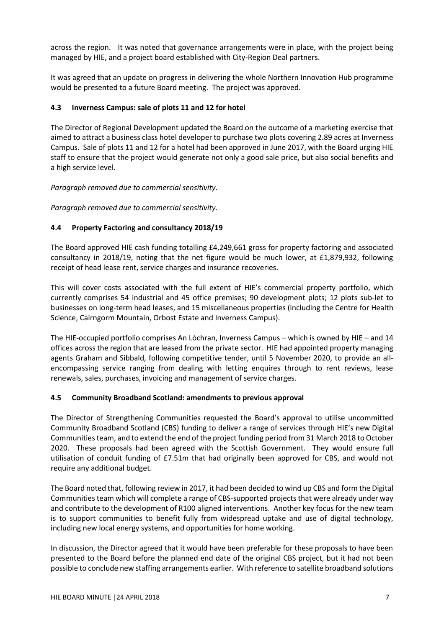across the region. It was noted that governance arrangements were in place, with the project being managed by HIE, and a project board established with City-Region Deal partners.

It was agreed that an update on progress in delivering the whole Northern Innovation Hub programme would be presented to a future Board meeting. The project was approved.

# **4.3 Inverness Campus: sale of plots 11 and 12 for hotel**

The Director of Regional Development updated the Board on the outcome of a marketing exercise that aimed to attract a business class hotel developer to purchase two plots covering 2.89 acres at Inverness Campus. Sale of plots 11 and 12 for a hotel had been approved in June 2017, with the Board urging HIE staff to ensure that the project would generate not only a good sale price, but also social benefits and a high service level.

*Paragraph removed due to commercial sensitivity.*

*Paragraph removed due to commercial sensitivity.*

# **4.4 Property Factoring and consultancy 2018/19**

The Board approved HIE cash funding totalling £4,249,661 gross for property factoring and associated consultancy in 2018/19, noting that the net figure would be much lower, at £1,879,932, following receipt of head lease rent, service charges and insurance recoveries.

This will cover costs associated with the full extent of HIE's commercial property portfolio, which currently comprises 54 industrial and 45 office premises; 90 development plots; 12 plots sub-let to businesses on long-term head leases, and 15 miscellaneous properties (including the Centre for Health Science, Cairngorm Mountain, Orbost Estate and Inverness Campus).

The HIE-occupied portfolio comprises An Lòchran, Inverness Campus – which is owned by HIE – and 14 offices across the region that are leased from the private sector. HIE had appointed property managing agents Graham and Sibbald, following competitive tender, until 5 November 2020, to provide an allencompassing service ranging from dealing with letting enquires through to rent reviews, lease renewals, sales, purchases, invoicing and management of service charges.

### **4.5 Community Broadband Scotland: amendments to previous approval**

The Director of Strengthening Communities requested the Board's approval to utilise uncommitted Community Broadband Scotland (CBS) funding to deliver a range of services through HIE's new Digital Communities team, and to extend the end of the project funding period from 31 March 2018 to October 2020. These proposals had been agreed with the Scottish Government. They would ensure full utilisation of conduit funding of £7.51m that had originally been approved for CBS, and would not require any additional budget.

The Board noted that, following review in 2017, it had been decided to wind up CBS and form the Digital Communities team which will complete a range of CBS-supported projects that were already under way and contribute to the development of R100 aligned interventions. Another key focus for the new team is to support communities to benefit fully from widespread uptake and use of digital technology, including new local energy systems, and opportunities for home working.

In discussion, the Director agreed that it would have been preferable for these proposals to have been presented to the Board before the planned end date of the original CBS project, but it had not been possible to conclude new staffing arrangements earlier. With reference to satellite broadband solutions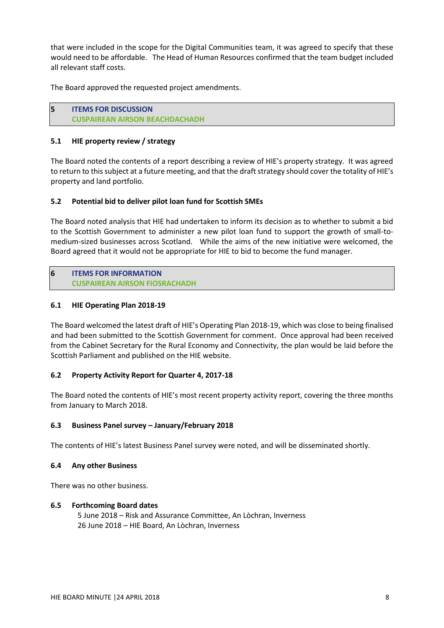that were included in the scope for the Digital Communities team, it was agreed to specify that these would need to be affordable. The Head of Human Resources confirmed that the team budget included all relevant staff costs.

The Board approved the requested project amendments.

**5 ITEMS FOR DISCUSSION CUSPAIREAN AIRSON BEACHDACHADH**

## **5.1 HIE property review / strategy**

The Board noted the contents of a report describing a review of HIE's property strategy. It was agreed to return to this subject at a future meeting, and that the draft strategy should cover the totality of HIE's property and land portfolio.

# **5.2 Potential bid to deliver pilot loan fund for Scottish SMEs**

The Board noted analysis that HIE had undertaken to inform its decision as to whether to submit a bid to the Scottish Government to administer a new pilot loan fund to support the growth of small-tomedium-sized businesses across Scotland. While the aims of the new initiative were welcomed, the Board agreed that it would not be appropriate for HIE to bid to become the fund manager.

**6 ITEMS FOR INFORMATION CUSPAIREAN AIRSON FIOSRACHADH**

# **6.1 HIE Operating Plan 2018-19**

The Board welcomed the latest draft of HIE's Operating Plan 2018-19, which was close to being finalised and had been submitted to the Scottish Government for comment. Once approval had been received from the Cabinet Secretary for the Rural Economy and Connectivity, the plan would be laid before the Scottish Parliament and published on the HIE website.

### **6.2 Property Activity Report for Quarter 4, 2017-18**

The Board noted the contents of HIE's most recent property activity report, covering the three months from January to March 2018.

### **6.3 Business Panel survey – January/February 2018**

The contents of HIE's latest Business Panel survey were noted, and will be disseminated shortly.

### **6.4 Any other Business**

There was no other business.

### **6.5 Forthcoming Board dates**

5 June 2018 – Risk and Assurance Committee, An Lòchran, Inverness 26 June 2018 – HIE Board, An Lòchran, Inverness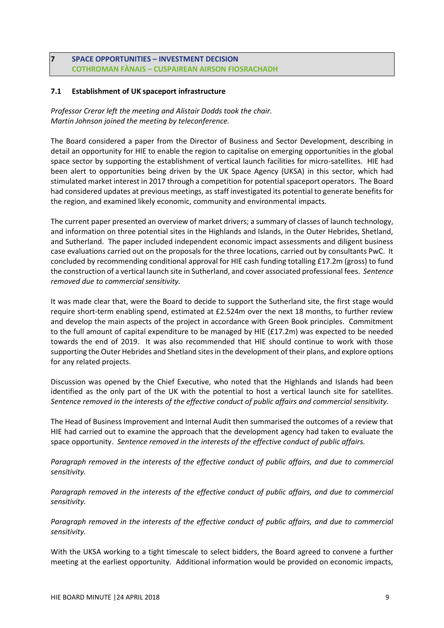# **7 SPACE OPPORTUNITIES – INVESTMENT DECISION COTHROMAN FÀNAIS – CUSPAIREAN AIRSON FIOSRACHADH**

## **7.1 Establishment of UK spaceport infrastructure**

*Professor Crerar left the meeting and Alistair Dodds took the chair. Martin Johnson joined the meeting by teleconference.*

The Board considered a paper from the Director of Business and Sector Development, describing in detail an opportunity for HIE to enable the region to capitalise on emerging opportunities in the global space sector by supporting the establishment of vertical launch facilities for micro-satellites. HIE had been alert to opportunities being driven by the UK Space Agency (UKSA) in this sector, which had stimulated market interest in 2017 through a competition for potential spaceport operators. The Board had considered updates at previous meetings, as staff investigated its potential to generate benefits for the region, and examined likely economic, community and environmental impacts.

The current paper presented an overview of market drivers; a summary of classes of launch technology, and information on three potential sites in the Highlands and Islands, in the Outer Hebrides, Shetland, and Sutherland. The paper included independent economic impact assessments and diligent business case evaluations carried out on the proposals for the three locations, carried out by consultants PwC. It concluded by recommending conditional approval for HIE cash funding totalling £17.2m (gross) to fund the construction of a vertical launch site in Sutherland, and cover associated professional fees. *Sentence removed due to commercial sensitivity.*

It was made clear that, were the Board to decide to support the Sutherland site, the first stage would require short-term enabling spend, estimated at £2.524m over the next 18 months, to further review and develop the main aspects of the project in accordance with Green Book principles. Commitment to the full amount of capital expenditure to be managed by HIE (£17.2m) was expected to be needed towards the end of 2019. It was also recommended that HIE should continue to work with those supporting the Outer Hebrides and Shetland sites in the development of their plans, and explore options for any related projects.

Discussion was opened by the Chief Executive, who noted that the Highlands and Islands had been identified as the only part of the UK with the potential to host a vertical launch site for satellites. *Sentence removed in the interests of the effective conduct of public affairs and commercial sensitivity.* 

The Head of Business Improvement and Internal Audit then summarised the outcomes of a review that HIE had carried out to examine the approach that the development agency had taken to evaluate the space opportunity. *Sentence removed in the interests of the effective conduct of public affairs.* 

*Paragraph removed in the interests of the effective conduct of public affairs, and due to commercial sensitivity.* 

*Paragraph removed in the interests of the effective conduct of public affairs, and due to commercial sensitivity.* 

*Paragraph removed in the interests of the effective conduct of public affairs, and due to commercial sensitivity.* 

With the UKSA working to a tight timescale to select bidders, the Board agreed to convene a further meeting at the earliest opportunity. Additional information would be provided on economic impacts,